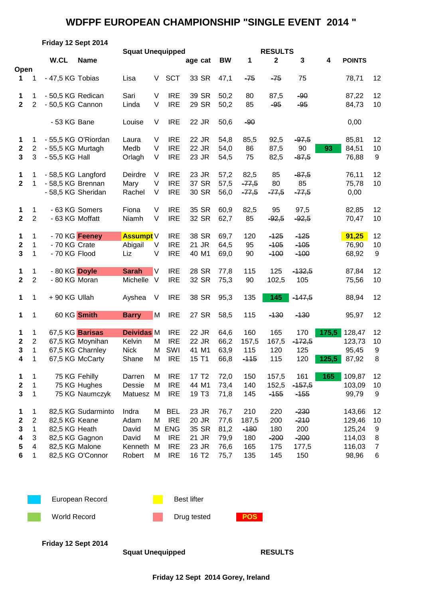## **WDFPF EUROPEAN CHAMPIONSHIP "SINGLE EVENT 2014 "**

|                                                  | Friday 12 Sept 2014                                                        |                                       |                                                                            |                                                      |                            |                                                                                  |                                                                |                                              |                                             |                                           |                                                   |                |                                                         |                                           |
|--------------------------------------------------|----------------------------------------------------------------------------|---------------------------------------|----------------------------------------------------------------------------|------------------------------------------------------|----------------------------|----------------------------------------------------------------------------------|----------------------------------------------------------------|----------------------------------------------|---------------------------------------------|-------------------------------------------|---------------------------------------------------|----------------|---------------------------------------------------------|-------------------------------------------|
|                                                  |                                                                            |                                       | <b>Squat Unequipped</b>                                                    |                                                      |                            |                                                                                  |                                                                | <b>RESULTS</b>                               |                                             |                                           |                                                   |                |                                                         |                                           |
| Open                                             |                                                                            | W.CL                                  | <b>Name</b>                                                                |                                                      |                            |                                                                                  | age cat                                                        | <b>BW</b>                                    | 1                                           | $\mathbf{2}$                              | 3                                                 | 4              | <b>POINTS</b>                                           |                                           |
| 1                                                | 1                                                                          | - 47,5 KG Tobias                      |                                                                            | Lisa                                                 | V                          | <b>SCT</b>                                                                       | 33 SR                                                          | 47,1                                         | $-75$                                       | $-75$                                     | 75                                                |                | 78,71                                                   | 12                                        |
| 1<br>$\overline{2}$                              | 1<br>$\mathbf{2}$                                                          | - 50,5 KG Redican<br>- 50,5 KG Cannon |                                                                            | Sari<br>Linda                                        | $\vee$<br>V                | <b>IRE</b><br><b>IRE</b>                                                         | 39 SR<br>29 SR                                                 | 50,2<br>50,2                                 | 80<br>85                                    | 87,5<br>$-95$                             | $-90$<br>$-95$                                    |                | 87,22<br>84,73                                          | 12<br>10                                  |
|                                                  |                                                                            | - 53 KG Bane                          |                                                                            | Louise                                               | V                          | <b>IRE</b>                                                                       | 22 JR                                                          | 50,6                                         | $-90$                                       |                                           |                                                   |                | 0,00                                                    |                                           |
| 1<br>$\boldsymbol{2}$<br>$\mathbf{3}$            | 1<br>$\overline{c}$<br>$\mathbf{3}$                                        | - 55,5 KG Murtagh<br>- 55,5 KG Hall   | - 55,5 KG O'Riordan                                                        | Laura<br>Medb<br>Orlagh                              | V<br>V<br>V                | <b>IRE</b><br><b>IRE</b><br><b>IRE</b>                                           | 22 JR<br>22 JR<br>23 JR                                        | 54,8<br>54,0<br>54,5                         | 85,5<br>86<br>75                            | 92,5<br>87,5<br>82,5                      | $-97,5$<br>90<br>$-87,5$                          | 93             | 85,81<br>84,51<br>76,88                                 | 12<br>10<br>9                             |
| 1<br>$\overline{2}$                              | 1<br>$\mathbf 1$                                                           | - 58,5 KG Brennan                     | - 58,5 KG Langford<br>- 58,5 KG Sheridan                                   | Deirdre<br>Mary<br>Rachel                            | V<br>V<br>V                | <b>IRE</b><br><b>IRE</b><br><b>IRE</b>                                           | 23 JR<br>37 SR<br>30 SR                                        | 57,2<br>57,5<br>56,0                         | 82,5<br>$-77,5$<br>$-77,5$                  | 85<br>80<br>$-77,5$                       | $-87,5$<br>85<br>$-77,5$                          |                | 76,11<br>75,78<br>0,00                                  | 12<br>10                                  |
| 1<br>$\mathbf{2}$                                | 1<br>$\overline{2}$                                                        |                                       | - 63 KG Somers<br>- 63 KG Moffatt                                          | Fiona<br>Niamh                                       | V<br>V                     | <b>IRE</b><br><b>IRE</b>                                                         | 35 SR<br>32 SR                                                 | 60,9<br>62,7                                 | 82,5<br>85                                  | 95<br>$-92,5$                             | 97,5<br>$-92,5$                                   |                | 82,85<br>70,47                                          | 12<br>10                                  |
| 1<br>$\mathbf{2}$<br>3                           | 1<br>1<br>1                                                                | - 70 KG Crate<br>- 70 KG Flood        | - 70 KG Feeney                                                             | <b>Assumpt</b> V<br>Abigail<br>Liz                   | V<br>V                     | <b>IRE</b><br><b>IRE</b><br><b>IRE</b>                                           | 38 SR<br>21 JR<br>40 M1                                        | 69,7<br>64,5<br>69,0                         | 120<br>95<br>90                             | $-125$<br>$-105$<br>$-100$                | $-125$<br>$-105$<br>$-100$                        |                | 91,25<br>76,90<br>68,92                                 | 12<br>10<br>9                             |
| 1<br>$\mathbf{2}$                                | 1<br>$\overline{2}$                                                        | - 80 KG Doyle<br>- 80 KG Moran        |                                                                            | <b>Sarah</b><br>Michelle                             | V<br>$\vee$                | <b>IRE</b><br><b>IRE</b>                                                         | 28 SR<br>32 SR                                                 | 77,8<br>75,3                                 | 115<br>90                                   | 125<br>102,5                              | $-132,5$<br>105                                   |                | 87,84<br>75,56                                          | 12<br>10                                  |
| 1                                                | 1                                                                          | +90 KG Ullah                          |                                                                            | Ayshea                                               | V                          | <b>IRE</b>                                                                       | 38 SR                                                          | 95,3                                         | 135                                         | 145                                       | $-447,5$                                          |                | 88,94                                                   | 12                                        |
| 1                                                | 1                                                                          |                                       | 60 KG Smith                                                                | <b>Barry</b>                                         | M                          | <b>IRE</b>                                                                       | 27 SR                                                          | 58,5                                         | 115                                         | $-130$                                    | $-130$                                            |                | 95,97                                                   | 12                                        |
| 1<br>$\mathbf 2$<br>$\overline{\mathbf{3}}$<br>4 | 1<br>$\overline{c}$<br>$\mathbf{1}$<br>1                                   |                                       | 67,5 KG Barisas<br>67,5 KG Moynihan<br>67,5 KG Charnley<br>67,5 KG McCarty | <b>Deividas M</b><br>Kelvin<br><b>Nick</b><br>Shane  | M<br>М<br>M                | <b>IRE</b><br><b>IRE</b><br>SWI<br><b>IRE</b>                                    | 22 JR<br>22 JR<br>41 M1<br>15 T1                               | 64,6<br>66,2<br>63,9<br>66,8                 | 160<br>157,5<br>115<br><del>-115</del>      | 165<br>167,5<br>120<br>115                | 170<br>$-172,5$<br>125<br>120                     | 175,5<br>125,5 | 128,47<br>123,73<br>95,45<br>87,92                      | 12<br>10<br>9<br>8                        |
| 1<br>$\mathbf{2}$<br>$\mathbf{3}$                | 1<br>1<br>1                                                                |                                       | 75 KG Fehilly<br>75 KG Hughes<br>75 KG Naumczyk                            | Darren<br>Dessie<br>Matuesz M                        | Μ<br>M                     | <b>IRE</b><br><b>IRE</b><br><b>IRE</b>                                           | 17 T <sub>2</sub><br>44 M1<br>19 T <sub>3</sub>                | 72,0<br>73,4<br>71,8                         | 150<br>140<br>145                           | 157,5<br>152,5<br>$-155$                  | 161<br>$-157,5$<br>$-155$                         | 165            | 109,87<br>103,09<br>99,79                               | 12<br>10<br>9                             |
| 1<br>$\boldsymbol{2}$<br>3<br>4<br>5<br>6        | 1<br>$\overline{2}$<br>$\mathbf{1}$<br>3<br>$\overline{4}$<br>$\mathbf{1}$ | 82,5 KG Keane<br>82,5 KG Heath        | 82,5 KG Sudarminto<br>82,5 KG Gagnon<br>82,5 KG Malone<br>82,5 KG O'Connor | Indra<br>Adam<br>David<br>David<br>Kenneth<br>Robert | Μ<br>M<br>М<br>М<br>M<br>Μ | <b>BEL</b><br><b>IRE</b><br><b>ENG</b><br><b>IRE</b><br><b>IRE</b><br><b>IRE</b> | 23 JR<br>20 JR<br>35 SR<br>21 JR<br>23 JR<br>16 T <sub>2</sub> | 76,7<br>77,6<br>81,2<br>79,9<br>76,6<br>75,7 | 210<br>187,5<br>$-180$<br>180<br>165<br>135 | 220<br>200<br>180<br>$-200$<br>175<br>145 | $-230$<br>$-210$<br>200<br>$-200$<br>177,5<br>150 |                | 143,66<br>129,46<br>125,24<br>114,03<br>116,03<br>98,96 | 12<br>10<br>9<br>8<br>$\overline{7}$<br>6 |



**Friday 12 Sept 2014**

Squat Unequipped RESULTS